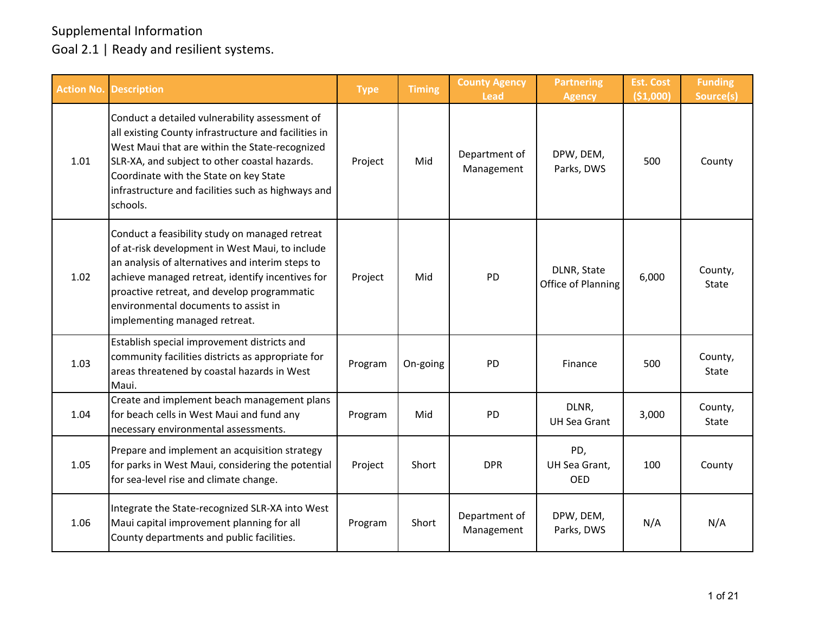| <b>Action No.</b> | <b>Description</b>                                                                                                                                                                                                                                                                                                                | <b>Type</b> | <b>Timing</b> | <b>County Agency</b><br><b>Lead</b> | <b>Partnering</b><br><b>Agency</b> | <b>Est. Cost</b><br>( \$1,000) | <b>Funding</b><br>Source(s) |
|-------------------|-----------------------------------------------------------------------------------------------------------------------------------------------------------------------------------------------------------------------------------------------------------------------------------------------------------------------------------|-------------|---------------|-------------------------------------|------------------------------------|--------------------------------|-----------------------------|
| 1.01              | Conduct a detailed vulnerability assessment of<br>all existing County infrastructure and facilities in<br>West Maui that are within the State-recognized<br>SLR-XA, and subject to other coastal hazards.<br>Coordinate with the State on key State<br>infrastructure and facilities such as highways and<br>schools.             | Project     | Mid           | Department of<br>Management         | DPW, DEM,<br>Parks, DWS            | 500                            | County                      |
| 1.02              | Conduct a feasibility study on managed retreat<br>of at-risk development in West Maui, to include<br>an analysis of alternatives and interim steps to<br>achieve managed retreat, identify incentives for<br>proactive retreat, and develop programmatic<br>environmental documents to assist in<br>implementing managed retreat. | Project     | Mid           | <b>PD</b>                           | DLNR, State<br>Office of Planning  | 6,000                          | County,<br>State            |
| 1.03              | Establish special improvement districts and<br>community facilities districts as appropriate for<br>areas threatened by coastal hazards in West<br>Maui.                                                                                                                                                                          | Program     | On-going      | <b>PD</b>                           | Finance                            | 500                            | County,<br>State            |
| 1.04              | Create and implement beach management plans<br>for beach cells in West Maui and fund any<br>necessary environmental assessments.                                                                                                                                                                                                  | Program     | Mid           | <b>PD</b>                           | DLNR,<br><b>UH Sea Grant</b>       | 3,000                          | County,<br>State            |
| 1.05              | Prepare and implement an acquisition strategy<br>for parks in West Maui, considering the potential<br>for sea-level rise and climate change.                                                                                                                                                                                      | Project     | Short         | <b>DPR</b>                          | PD,<br>UH Sea Grant,<br><b>OED</b> | 100                            | County                      |
| 1.06              | Integrate the State-recognized SLR-XA into West<br>Maui capital improvement planning for all<br>County departments and public facilities.                                                                                                                                                                                         | Program     | Short         | Department of<br>Management         | DPW, DEM,<br>Parks, DWS            | N/A                            | N/A                         |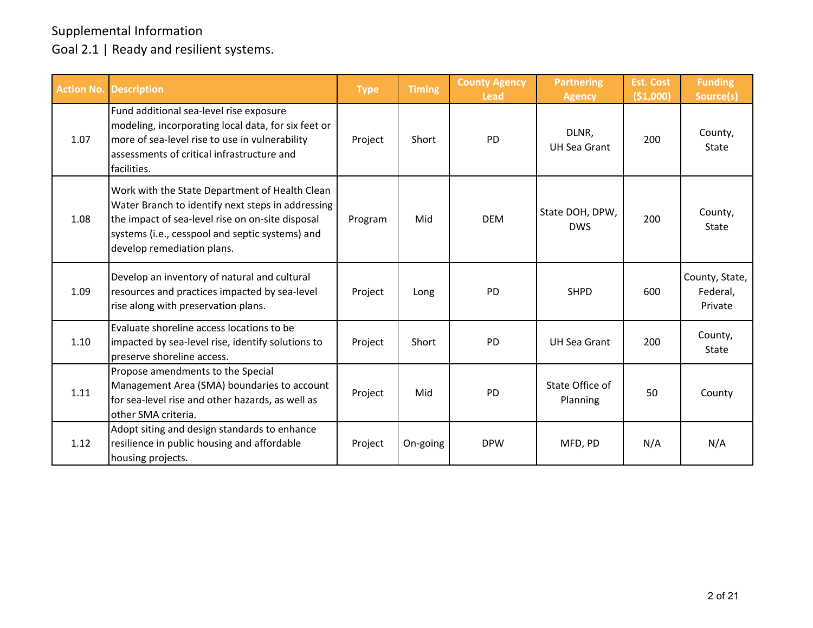| <b>Action No.</b> | <b>Description</b>                                                                                                                                                                                                                       | <b>Type</b> | <b>Timing</b> | <b>County Agency</b><br><b>Lead</b> | <b>Partnering</b><br><b>Agency</b> | <b>Est. Cost</b><br>(51,000) | <b>Funding</b><br>Source(s)           |
|-------------------|------------------------------------------------------------------------------------------------------------------------------------------------------------------------------------------------------------------------------------------|-------------|---------------|-------------------------------------|------------------------------------|------------------------------|---------------------------------------|
| 1.07              | Fund additional sea-level rise exposure<br>modeling, incorporating local data, for six feet or<br>more of sea-level rise to use in vulnerability<br>assessments of critical infrastructure and<br>facilities.                            | Project     | Short         | <b>PD</b>                           | DLNR,<br><b>UH Sea Grant</b>       | 200                          | County,<br>State                      |
| 1.08              | Work with the State Department of Health Clean<br>Water Branch to identify next steps in addressing<br>the impact of sea-level rise on on-site disposal<br>systems (i.e., cesspool and septic systems) and<br>develop remediation plans. | Program     | Mid           | <b>DEM</b>                          | State DOH, DPW,<br><b>DWS</b>      | 200                          | County,<br>State                      |
| 1.09              | Develop an inventory of natural and cultural<br>resources and practices impacted by sea-level<br>rise along with preservation plans.                                                                                                     | Project     | Long          | <b>PD</b>                           | <b>SHPD</b>                        | 600                          | County, State,<br>Federal,<br>Private |
| 1.10              | Evaluate shoreline access locations to be<br>impacted by sea-level rise, identify solutions to<br>preserve shoreline access.                                                                                                             | Project     | Short         | <b>PD</b>                           | UH Sea Grant                       | 200                          | County,<br>State                      |
| 1.11              | Propose amendments to the Special<br>Management Area (SMA) boundaries to account<br>for sea-level rise and other hazards, as well as<br>other SMA criteria.                                                                              | Project     | Mid           | <b>PD</b>                           | State Office of<br>Planning        | 50                           | County                                |
| 1.12              | Adopt siting and design standards to enhance<br>resilience in public housing and affordable<br>housing projects.                                                                                                                         | Project     | On-going      | <b>DPW</b>                          | MFD, PD                            | N/A                          | N/A                                   |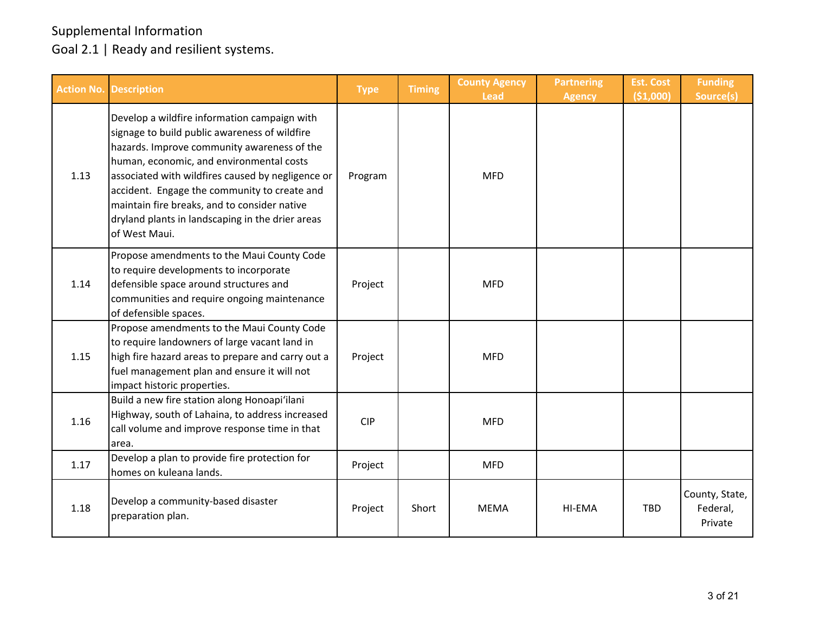|      | <b>Action No. Description</b>                                                                                                                                                                                                                                                                                                                                                                                      | <b>Type</b> | <b>Timing</b> | <b>County Agency</b><br><b>Lead</b> | <b>Partnering</b><br><b>Agency</b> | <b>Est. Cost</b><br>( \$1,000) | <b>Funding</b><br>Source(s)           |
|------|--------------------------------------------------------------------------------------------------------------------------------------------------------------------------------------------------------------------------------------------------------------------------------------------------------------------------------------------------------------------------------------------------------------------|-------------|---------------|-------------------------------------|------------------------------------|--------------------------------|---------------------------------------|
| 1.13 | Develop a wildfire information campaign with<br>signage to build public awareness of wildfire<br>hazards. Improve community awareness of the<br>human, economic, and environmental costs<br>associated with wildfires caused by negligence or<br>accident. Engage the community to create and<br>maintain fire breaks, and to consider native<br>dryland plants in landscaping in the drier areas<br>of West Maui. | Program     |               | <b>MFD</b>                          |                                    |                                |                                       |
| 1.14 | Propose amendments to the Maui County Code<br>to require developments to incorporate<br>defensible space around structures and<br>communities and require ongoing maintenance<br>of defensible spaces.                                                                                                                                                                                                             | Project     |               | <b>MFD</b>                          |                                    |                                |                                       |
| 1.15 | Propose amendments to the Maui County Code<br>to require landowners of large vacant land in<br>high fire hazard areas to prepare and carry out a<br>fuel management plan and ensure it will not<br>impact historic properties.                                                                                                                                                                                     | Project     |               | <b>MFD</b>                          |                                    |                                |                                       |
| 1.16 | Build a new fire station along Honoapi'ilani<br>Highway, south of Lahaina, to address increased<br>call volume and improve response time in that<br>area.                                                                                                                                                                                                                                                          | <b>CIP</b>  |               | <b>MFD</b>                          |                                    |                                |                                       |
| 1.17 | Develop a plan to provide fire protection for<br>homes on kuleana lands.                                                                                                                                                                                                                                                                                                                                           | Project     |               | <b>MFD</b>                          |                                    |                                |                                       |
| 1.18 | Develop a community-based disaster<br>preparation plan.                                                                                                                                                                                                                                                                                                                                                            | Project     | Short         | <b>MEMA</b>                         | HI-EMA                             | <b>TBD</b>                     | County, State,<br>Federal,<br>Private |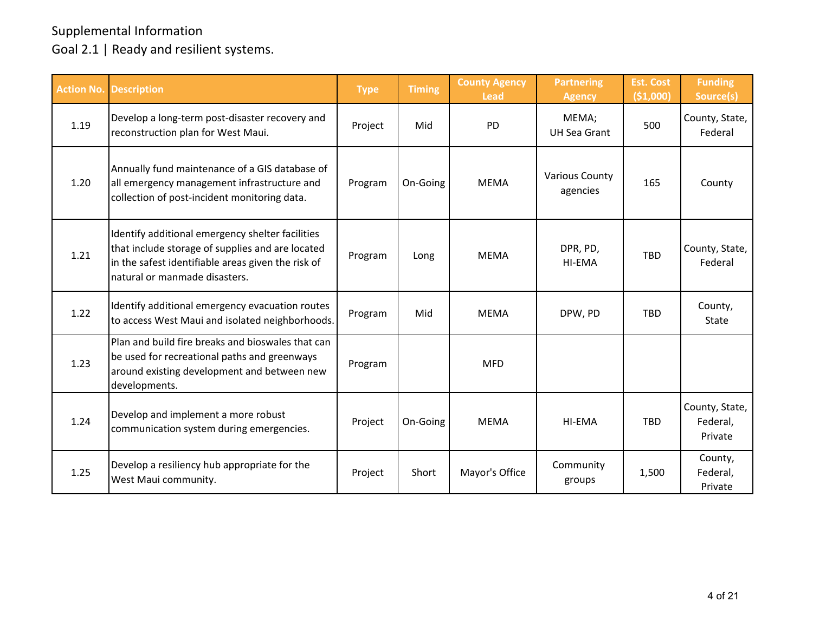| <b>Action No.</b> | <b>Description</b>                                                                                                                                                                          | <b>Type</b> | <b>Timing</b> | <b>County Agency</b><br><b>Lead</b> | <b>Partnering</b><br><b>Agency</b> | <b>Est. Cost</b><br>( \$1,000] | <b>Funding</b><br>Source(s)           |
|-------------------|---------------------------------------------------------------------------------------------------------------------------------------------------------------------------------------------|-------------|---------------|-------------------------------------|------------------------------------|--------------------------------|---------------------------------------|
| 1.19              | Develop a long-term post-disaster recovery and<br>reconstruction plan for West Maui.                                                                                                        | Project     | Mid           | PD                                  | MEMA;<br><b>UH Sea Grant</b>       | 500                            | County, State,<br>Federal             |
| 1.20              | Annually fund maintenance of a GIS database of<br>all emergency management infrastructure and<br>collection of post-incident monitoring data.                                               | Program     | On-Going      | <b>MEMA</b>                         | <b>Various County</b><br>agencies  | 165                            | County                                |
| 1.21              | Identify additional emergency shelter facilities<br>that include storage of supplies and are located<br>in the safest identifiable areas given the risk of<br>natural or manmade disasters. | Program     | Long          | <b>MFMA</b>                         | DPR, PD,<br>HI-EMA                 | <b>TBD</b>                     | County, State,<br>Federal             |
| 1.22              | Identify additional emergency evacuation routes<br>to access West Maui and isolated neighborhoods.                                                                                          | Program     | Mid           | <b>MEMA</b>                         | DPW, PD                            | <b>TBD</b>                     | County,<br>State                      |
| 1.23              | Plan and build fire breaks and bioswales that can<br>be used for recreational paths and greenways<br>around existing development and between new<br>developments.                           | Program     |               | <b>MFD</b>                          |                                    |                                |                                       |
| 1.24              | Develop and implement a more robust<br>communication system during emergencies.                                                                                                             | Project     | On-Going      | <b>MEMA</b>                         | <b>HI-EMA</b>                      | <b>TBD</b>                     | County, State,<br>Federal,<br>Private |
| 1.25              | Develop a resiliency hub appropriate for the<br>West Maui community.                                                                                                                        | Project     | Short         | Mayor's Office                      | Community<br>groups                | 1,500                          | County,<br>Federal,<br>Private        |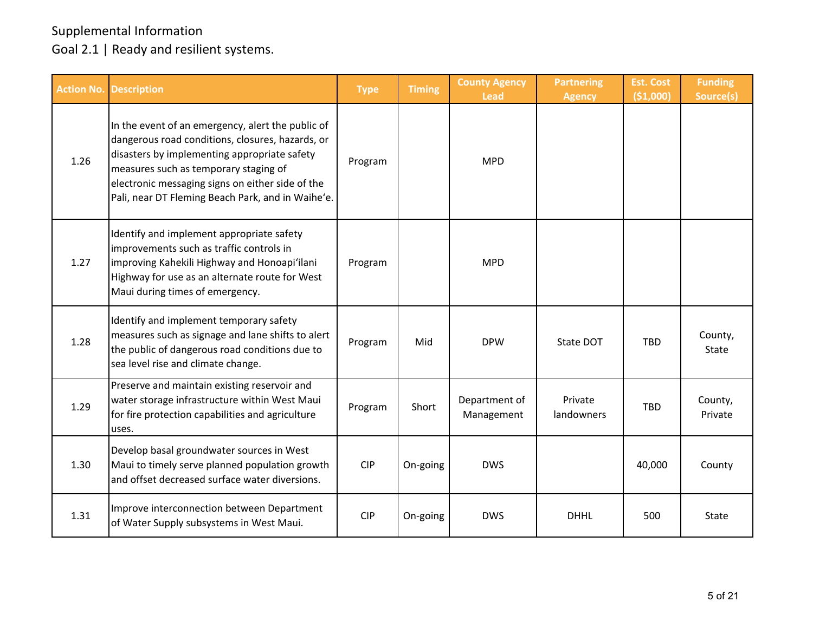|      | <b>Action No. Description</b>                                                                                                                                                                                                                                                                           | <b>Type</b> | <b>Timing</b> | <b>County Agency</b><br><b>Lead</b> | <b>Partnering</b><br><b>Agency</b> | <b>Est. Cost</b><br>( \$1,000) | <b>Funding</b><br>Source(s) |
|------|---------------------------------------------------------------------------------------------------------------------------------------------------------------------------------------------------------------------------------------------------------------------------------------------------------|-------------|---------------|-------------------------------------|------------------------------------|--------------------------------|-----------------------------|
| 1.26 | In the event of an emergency, alert the public of<br>dangerous road conditions, closures, hazards, or<br>disasters by implementing appropriate safety<br>measures such as temporary staging of<br>electronic messaging signs on either side of the<br>Pali, near DT Fleming Beach Park, and in Waihe'e. | Program     |               | <b>MPD</b>                          |                                    |                                |                             |
| 1.27 | Identify and implement appropriate safety<br>improvements such as traffic controls in<br>improving Kahekili Highway and Honoapi'ilani<br>Highway for use as an alternate route for West<br>Maui during times of emergency.                                                                              | Program     |               | <b>MPD</b>                          |                                    |                                |                             |
| 1.28 | Identify and implement temporary safety<br>measures such as signage and lane shifts to alert<br>the public of dangerous road conditions due to<br>sea level rise and climate change.                                                                                                                    | Program     | Mid           | <b>DPW</b>                          | State DOT                          | <b>TBD</b>                     | County,<br><b>State</b>     |
| 1.29 | Preserve and maintain existing reservoir and<br>water storage infrastructure within West Maui<br>for fire protection capabilities and agriculture<br>uses.                                                                                                                                              | Program     | Short         | Department of<br>Management         | Private<br>landowners              | <b>TBD</b>                     | County,<br>Private          |
| 1.30 | Develop basal groundwater sources in West<br>Maui to timely serve planned population growth<br>and offset decreased surface water diversions.                                                                                                                                                           | <b>CIP</b>  | On-going      | <b>DWS</b>                          |                                    | 40,000                         | County                      |
| 1.31 | Improve interconnection between Department<br>of Water Supply subsystems in West Maui.                                                                                                                                                                                                                  | <b>CIP</b>  | On-going      | <b>DWS</b>                          | <b>DHHL</b>                        | 500                            | State                       |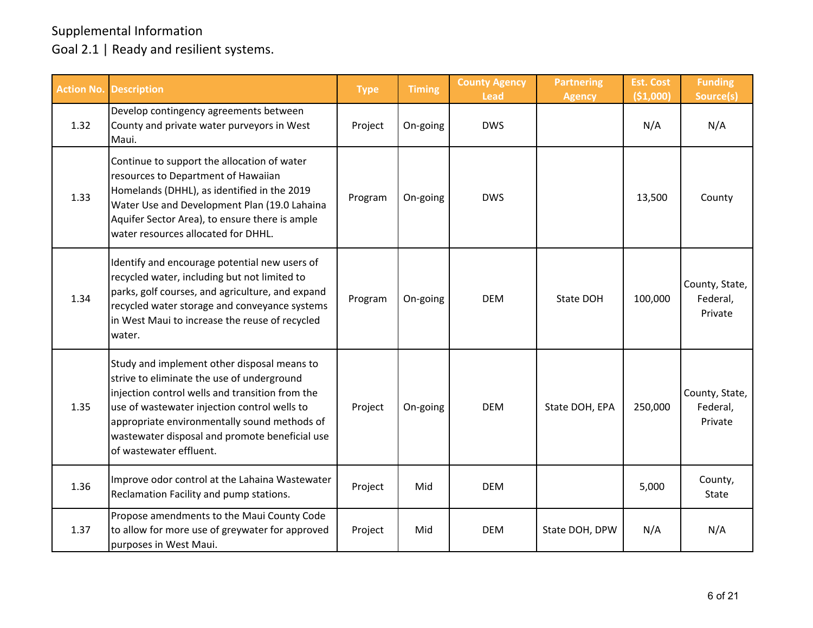| <b>Action No.</b> | <b>Description</b>                                                                                                                                                                                                                                                                                                        | <b>Type</b> | <b>Timing</b> | <b>County Agency</b><br><b>Lead</b> | <b>Partnering</b><br><b>Agency</b> | <b>Est. Cost</b><br>( \$1,000) | <b>Funding</b><br>Source(s)           |
|-------------------|---------------------------------------------------------------------------------------------------------------------------------------------------------------------------------------------------------------------------------------------------------------------------------------------------------------------------|-------------|---------------|-------------------------------------|------------------------------------|--------------------------------|---------------------------------------|
| 1.32              | Develop contingency agreements between<br>County and private water purveyors in West<br>Maui.                                                                                                                                                                                                                             | Project     | On-going      | <b>DWS</b>                          |                                    | N/A                            | N/A                                   |
| 1.33              | Continue to support the allocation of water<br>resources to Department of Hawaiian<br>Homelands (DHHL), as identified in the 2019<br>Water Use and Development Plan (19.0 Lahaina<br>Aquifer Sector Area), to ensure there is ample<br>water resources allocated for DHHL.                                                | Program     | On-going      | <b>DWS</b>                          |                                    | 13,500                         | County                                |
| 1.34              | Identify and encourage potential new users of<br>recycled water, including but not limited to<br>parks, golf courses, and agriculture, and expand<br>recycled water storage and conveyance systems<br>in West Maui to increase the reuse of recycled<br>water.                                                            | Program     | On-going      | <b>DEM</b>                          | State DOH                          | 100,000                        | County, State,<br>Federal,<br>Private |
| 1.35              | Study and implement other disposal means to<br>strive to eliminate the use of underground<br>injection control wells and transition from the<br>use of wastewater injection control wells to<br>appropriate environmentally sound methods of<br>wastewater disposal and promote beneficial use<br>of wastewater effluent. | Project     | On-going      | <b>DEM</b>                          | State DOH, EPA                     | 250,000                        | County, State,<br>Federal,<br>Private |
| 1.36              | Improve odor control at the Lahaina Wastewater<br>Reclamation Facility and pump stations.                                                                                                                                                                                                                                 | Project     | Mid           | <b>DEM</b>                          |                                    | 5,000                          | County,<br>State                      |
| 1.37              | Propose amendments to the Maui County Code<br>to allow for more use of greywater for approved<br>purposes in West Maui.                                                                                                                                                                                                   | Project     | Mid           | <b>DEM</b>                          | State DOH, DPW                     | N/A                            | N/A                                   |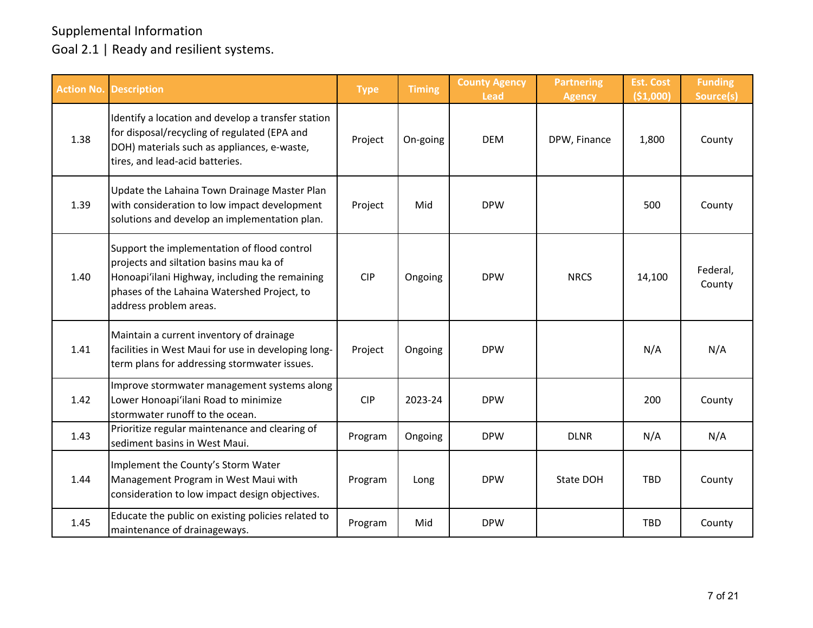| <b>Action No.</b> | <b>Description</b>                                                                                                                                                                                                | <b>Type</b> | <b>Timing</b> | <b>County Agency</b><br><b>Lead</b> | <b>Partnering</b><br><b>Agency</b> | <b>Est. Cost</b><br>( \$1,000) | <b>Funding</b><br>Source(s) |
|-------------------|-------------------------------------------------------------------------------------------------------------------------------------------------------------------------------------------------------------------|-------------|---------------|-------------------------------------|------------------------------------|--------------------------------|-----------------------------|
| 1.38              | Identify a location and develop a transfer station<br>for disposal/recycling of regulated (EPA and<br>DOH) materials such as appliances, e-waste,<br>tires, and lead-acid batteries.                              | Project     | On-going      | <b>DEM</b>                          | DPW, Finance                       | 1,800                          | County                      |
| 1.39              | Update the Lahaina Town Drainage Master Plan<br>with consideration to low impact development<br>solutions and develop an implementation plan.                                                                     | Project     | Mid           | <b>DPW</b>                          |                                    | 500                            | County                      |
| 1.40              | Support the implementation of flood control<br>projects and siltation basins mau ka of<br>Honoapi'ilani Highway, including the remaining<br>phases of the Lahaina Watershed Project, to<br>address problem areas. | <b>CIP</b>  | Ongoing       | <b>DPW</b>                          | <b>NRCS</b>                        | 14,100                         | Federal,<br>County          |
| 1.41              | Maintain a current inventory of drainage<br>facilities in West Maui for use in developing long-<br>term plans for addressing stormwater issues.                                                                   | Project     | Ongoing       | <b>DPW</b>                          |                                    | N/A                            | N/A                         |
| 1.42              | Improve stormwater management systems along<br>Lower Honoapi'ilani Road to minimize<br>stormwater runoff to the ocean.                                                                                            | <b>CIP</b>  | 2023-24       | <b>DPW</b>                          |                                    | 200                            | County                      |
| 1.43              | Prioritize regular maintenance and clearing of<br>sediment basins in West Maui.                                                                                                                                   | Program     | Ongoing       | <b>DPW</b>                          | <b>DLNR</b>                        | N/A                            | N/A                         |
| 1.44              | Implement the County's Storm Water<br>Management Program in West Maui with<br>consideration to low impact design objectives.                                                                                      | Program     | Long          | <b>DPW</b>                          | <b>State DOH</b>                   | <b>TBD</b>                     | County                      |
| 1.45              | Educate the public on existing policies related to<br>maintenance of drainageways.                                                                                                                                | Program     | Mid           | <b>DPW</b>                          |                                    | <b>TBD</b>                     | County                      |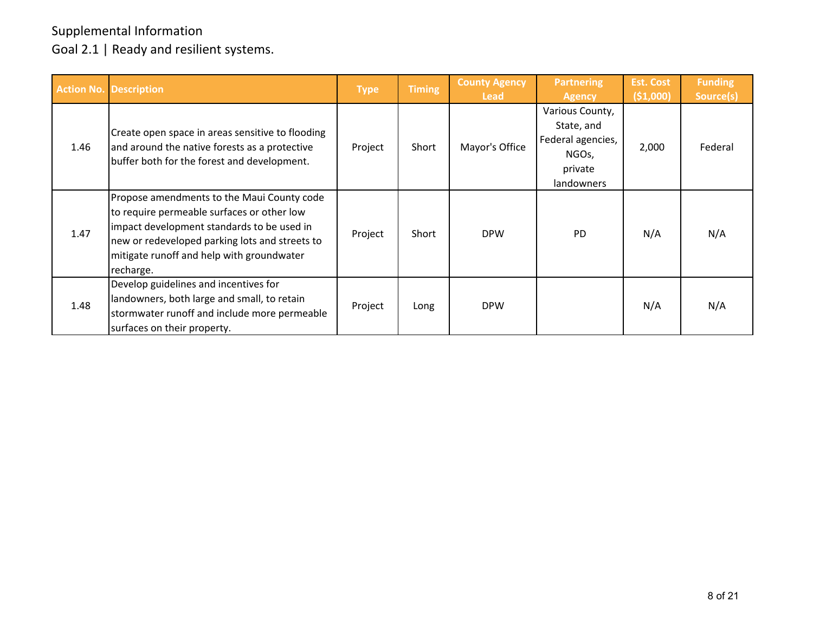|      | <b>Action No. Description</b>                                                                                                                                                                                                                      | <b>Type</b> | <b>Timing</b> | <b>County Agency</b><br><b>Lead</b> | <b>Partnering</b><br><b>Agency</b>                                                   | <b>Est. Cost</b><br>(51,000) | <b>Funding</b><br>Source(s) |
|------|----------------------------------------------------------------------------------------------------------------------------------------------------------------------------------------------------------------------------------------------------|-------------|---------------|-------------------------------------|--------------------------------------------------------------------------------------|------------------------------|-----------------------------|
| 1.46 | Create open space in areas sensitive to flooding<br>and around the native forests as a protective<br>buffer both for the forest and development.                                                                                                   | Project     | Short         | Mayor's Office                      | Various County,<br>State, and<br>Federal agencies,<br>NGOs,<br>private<br>landowners | 2,000                        | Federal                     |
| 1.47 | Propose amendments to the Maui County code<br>to require permeable surfaces or other low<br>impact development standards to be used in<br>new or redeveloped parking lots and streets to<br>mitigate runoff and help with groundwater<br>recharge. | Project     | Short         | <b>DPW</b>                          | <b>PD</b>                                                                            | N/A                          | N/A                         |
| 1.48 | Develop guidelines and incentives for<br>landowners, both large and small, to retain<br>stormwater runoff and include more permeable<br>surfaces on their property.                                                                                | Project     | Long          | <b>DPW</b>                          |                                                                                      | N/A                          | N/A                         |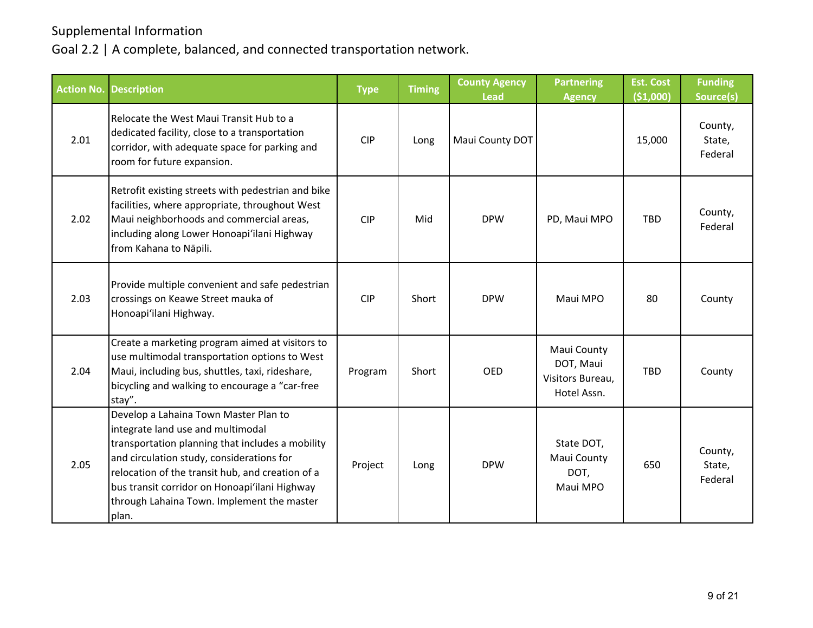|      | <b>Action No. Description</b>                                                                                                                                                                                                                                                                                                           | <b>Type</b> | <b>Timing</b> | <b>County Agency</b><br><b>Lead</b> | <b>Partnering</b><br><b>Agency</b>                          | <b>Est. Cost</b><br>( \$1,000] | <b>Funding</b><br>Source(s)  |
|------|-----------------------------------------------------------------------------------------------------------------------------------------------------------------------------------------------------------------------------------------------------------------------------------------------------------------------------------------|-------------|---------------|-------------------------------------|-------------------------------------------------------------|--------------------------------|------------------------------|
| 2.01 | Relocate the West Maui Transit Hub to a<br>dedicated facility, close to a transportation<br>corridor, with adequate space for parking and<br>room for future expansion.                                                                                                                                                                 | <b>CIP</b>  | Long          | Maui County DOT                     |                                                             | 15,000                         | County,<br>State,<br>Federal |
| 2.02 | Retrofit existing streets with pedestrian and bike<br>facilities, where appropriate, throughout West<br>Maui neighborhoods and commercial areas,<br>including along Lower Honoapi'ilani Highway<br>from Kahana to Nāpili.                                                                                                               | <b>CIP</b>  | Mid           | <b>DPW</b>                          | PD, Maui MPO                                                | <b>TBD</b>                     | County,<br>Federal           |
| 2.03 | Provide multiple convenient and safe pedestrian<br>crossings on Keawe Street mauka of<br>Honoapi'ilani Highway.                                                                                                                                                                                                                         | <b>CIP</b>  | Short         | <b>DPW</b>                          | Maui MPO                                                    | 80                             | County                       |
| 2.04 | Create a marketing program aimed at visitors to<br>use multimodal transportation options to West<br>Maui, including bus, shuttles, taxi, rideshare,<br>bicycling and walking to encourage a "car-free<br>stay".                                                                                                                         | Program     | Short         | <b>OED</b>                          | Maui County<br>DOT, Maui<br>Visitors Bureau,<br>Hotel Assn. | <b>TBD</b>                     | County                       |
| 2.05 | Develop a Lahaina Town Master Plan to<br>integrate land use and multimodal<br>transportation planning that includes a mobility<br>and circulation study, considerations for<br>relocation of the transit hub, and creation of a<br>bus transit corridor on Honoapi'ilani Highway<br>through Lahaina Town. Implement the master<br>plan. | Project     | Long          | <b>DPW</b>                          | State DOT,<br>Maui County<br>DOT,<br>Maui MPO               | 650                            | County,<br>State,<br>Federal |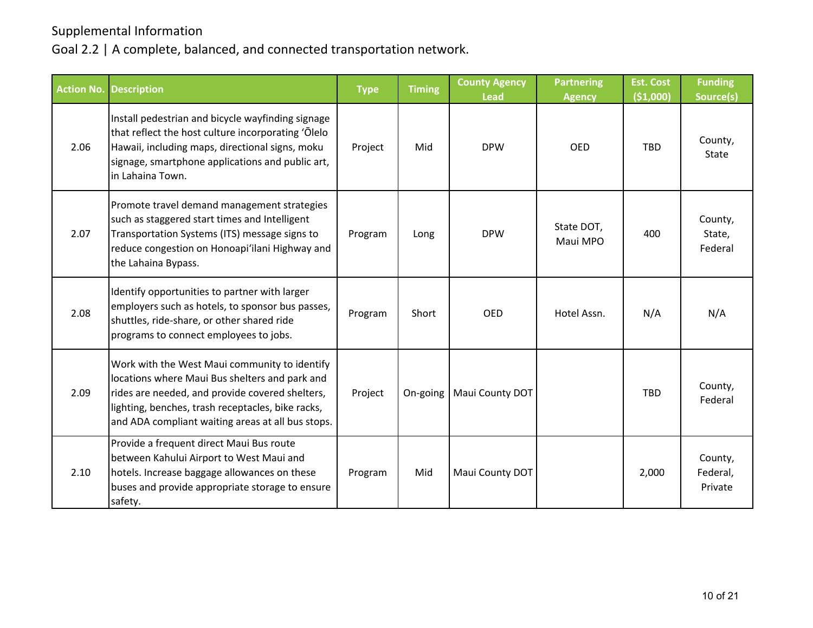|      | Action No. Description                                                                                                                                                                                                                                       | <b>Type</b> | <b>Timing</b> | <b>County Agency</b><br><b>Lead</b> | <b>Partnering</b><br><b>Agency</b> | <b>Est. Cost</b><br>( \$1,000] | <b>Funding</b><br>Source(s)    |
|------|--------------------------------------------------------------------------------------------------------------------------------------------------------------------------------------------------------------------------------------------------------------|-------------|---------------|-------------------------------------|------------------------------------|--------------------------------|--------------------------------|
| 2.06 | Install pedestrian and bicycle wayfinding signage<br>that reflect the host culture incorporating 'Olelo<br>Hawaii, including maps, directional signs, moku<br>signage, smartphone applications and public art,<br>in Lahaina Town.                           | Project     | Mid           | <b>DPW</b>                          | <b>OED</b>                         | <b>TBD</b>                     | County,<br>State               |
| 2.07 | Promote travel demand management strategies<br>such as staggered start times and Intelligent<br>Transportation Systems (ITS) message signs to<br>reduce congestion on Honoapi'ilani Highway and<br>the Lahaina Bypass.                                       | Program     | Long          | <b>DPW</b>                          | State DOT,<br>Maui MPO             | 400                            | County,<br>State,<br>Federal   |
| 2.08 | Identify opportunities to partner with larger<br>employers such as hotels, to sponsor bus passes,<br>shuttles, ride-share, or other shared ride<br>programs to connect employees to jobs.                                                                    | Program     | Short         | <b>OED</b>                          | Hotel Assn.                        | N/A                            | N/A                            |
| 2.09 | Work with the West Maui community to identify<br>locations where Maui Bus shelters and park and<br>rides are needed, and provide covered shelters,<br>lighting, benches, trash receptacles, bike racks,<br>and ADA compliant waiting areas at all bus stops. | Project     | On-going      | Maui County DOT                     |                                    | <b>TBD</b>                     | County,<br>Federal             |
| 2.10 | Provide a frequent direct Maui Bus route<br>between Kahului Airport to West Maui and<br>hotels. Increase baggage allowances on these<br>buses and provide appropriate storage to ensure<br>safety.                                                           | Program     | Mid           | Maui County DOT                     |                                    | 2,000                          | County,<br>Federal,<br>Private |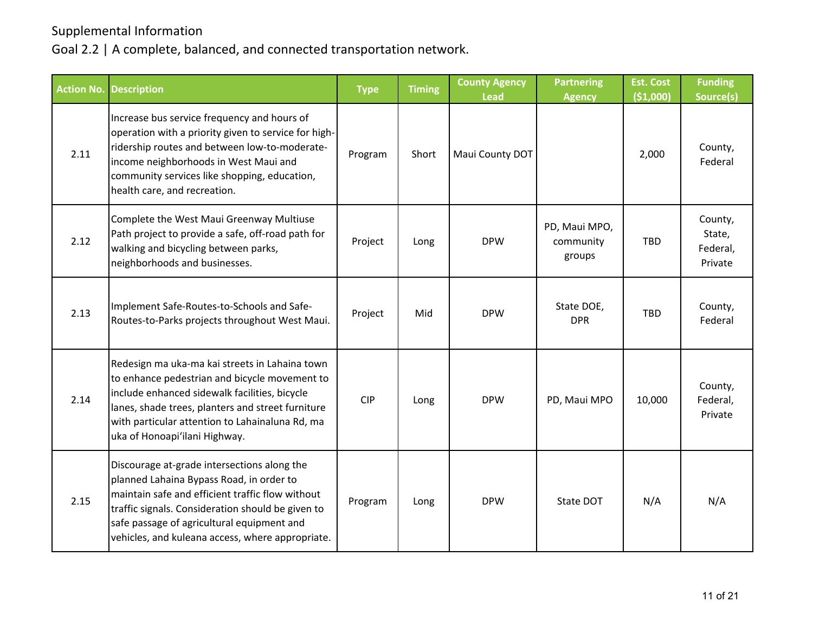| <b>Action No. Description</b> |                                                                                                                                                                                                                                                                                                    | <b>Type</b> | <b>Timing</b> | <b>County Agency</b><br><b>Lead</b> | <b>Partnering</b><br><b>Agency</b>   | <b>Est. Cost</b><br>( \$1,000) | <b>Funding</b><br>Source(s)              |
|-------------------------------|----------------------------------------------------------------------------------------------------------------------------------------------------------------------------------------------------------------------------------------------------------------------------------------------------|-------------|---------------|-------------------------------------|--------------------------------------|--------------------------------|------------------------------------------|
| 2.11                          | Increase bus service frequency and hours of<br>operation with a priority given to service for high-<br>ridership routes and between low-to-moderate-<br>income neighborhoods in West Maui and<br>community services like shopping, education,<br>health care, and recreation.                      | Program     | Short         | Maui County DOT                     |                                      | 2,000                          | County,<br>Federal                       |
| 2.12                          | Complete the West Maui Greenway Multiuse<br>Path project to provide a safe, off-road path for<br>walking and bicycling between parks,<br>neighborhoods and businesses.                                                                                                                             | Project     | Long          | <b>DPW</b>                          | PD, Maui MPO,<br>community<br>groups | TBD                            | County,<br>State,<br>Federal,<br>Private |
| 2.13                          | Implement Safe-Routes-to-Schools and Safe-<br>Routes-to-Parks projects throughout West Maui.                                                                                                                                                                                                       | Project     | Mid           | <b>DPW</b>                          | State DOE,<br><b>DPR</b>             | <b>TBD</b>                     | County,<br>Federal                       |
| 2.14                          | Redesign ma uka-ma kai streets in Lahaina town<br>to enhance pedestrian and bicycle movement to<br>include enhanced sidewalk facilities, bicycle<br>lanes, shade trees, planters and street furniture<br>with particular attention to Lahainaluna Rd, ma<br>uka of Honoapi'ilani Highway.          | <b>CIP</b>  | Long          | <b>DPW</b>                          | PD, Maui MPO                         | 10,000                         | County,<br>Federal,<br>Private           |
| 2.15                          | Discourage at-grade intersections along the<br>planned Lahaina Bypass Road, in order to<br>maintain safe and efficient traffic flow without<br>traffic signals. Consideration should be given to<br>safe passage of agricultural equipment and<br>vehicles, and kuleana access, where appropriate. | Program     | Long          | <b>DPW</b>                          | State DOT                            | N/A                            | N/A                                      |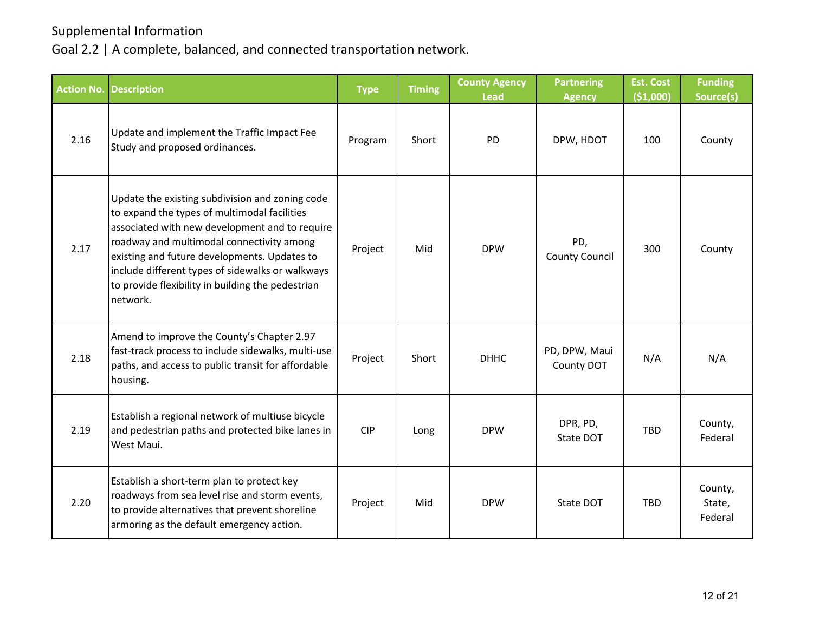| <b>Action No.</b> | <b>Description</b>                                                                                                                                                                                                                                                                                                                                                  | <b>Type</b> | <b>Timing</b> | <b>County Agency</b><br><b>Lead</b> | <b>Partnering</b><br><b>Agency</b> | <b>Est. Cost</b><br>( \$1,000] | <b>Funding</b><br>Source(s)  |
|-------------------|---------------------------------------------------------------------------------------------------------------------------------------------------------------------------------------------------------------------------------------------------------------------------------------------------------------------------------------------------------------------|-------------|---------------|-------------------------------------|------------------------------------|--------------------------------|------------------------------|
| 2.16              | Update and implement the Traffic Impact Fee<br>Study and proposed ordinances.                                                                                                                                                                                                                                                                                       | Program     | Short         | PD                                  | DPW, HDOT                          | 100                            | County                       |
| 2.17              | Update the existing subdivision and zoning code<br>to expand the types of multimodal facilities<br>associated with new development and to require<br>roadway and multimodal connectivity among<br>existing and future developments. Updates to<br>include different types of sidewalks or walkways<br>to provide flexibility in building the pedestrian<br>network. | Project     | Mid           | <b>DPW</b>                          | PD,<br><b>County Council</b>       | 300                            | County                       |
| 2.18              | Amend to improve the County's Chapter 2.97<br>fast-track process to include sidewalks, multi-use<br>paths, and access to public transit for affordable<br>housing.                                                                                                                                                                                                  | Project     | Short         | <b>DHHC</b>                         | PD, DPW, Maui<br>County DOT        | N/A                            | N/A                          |
| 2.19              | Establish a regional network of multiuse bicycle<br>and pedestrian paths and protected bike lanes in<br>West Maui.                                                                                                                                                                                                                                                  | <b>CIP</b>  | Long          | <b>DPW</b>                          | DPR, PD,<br>State DOT              | <b>TBD</b>                     | County,<br>Federal           |
| 2.20              | Establish a short-term plan to protect key<br>roadways from sea level rise and storm events,<br>to provide alternatives that prevent shoreline<br>armoring as the default emergency action.                                                                                                                                                                         | Project     | Mid           | <b>DPW</b>                          | State DOT                          | <b>TBD</b>                     | County,<br>State,<br>Federal |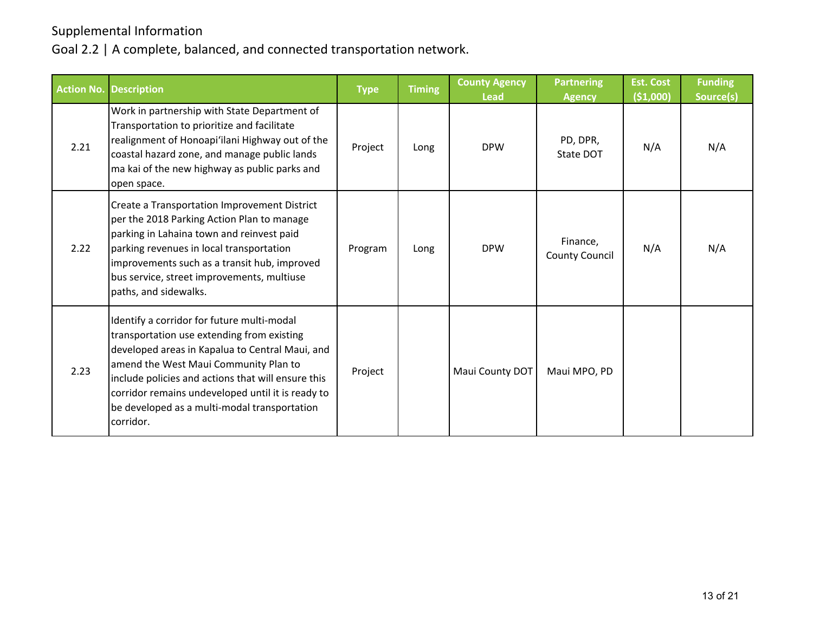|      | <b>Action No. Description</b>                                                                                                                                                                                                                                                                                                                                | <b>Type</b> | <b>Timing</b> | <b>County Agency</b><br><b>Lead</b> | <b>Partnering</b><br><b>Agency</b> | <b>Est. Cost</b><br>( \$1,000) | <b>Funding</b><br>Source(s) |
|------|--------------------------------------------------------------------------------------------------------------------------------------------------------------------------------------------------------------------------------------------------------------------------------------------------------------------------------------------------------------|-------------|---------------|-------------------------------------|------------------------------------|--------------------------------|-----------------------------|
| 2.21 | Work in partnership with State Department of<br>Transportation to prioritize and facilitate<br>realignment of Honoapi'ilani Highway out of the<br>coastal hazard zone, and manage public lands<br>ma kai of the new highway as public parks and<br>open space.                                                                                               | Project     | Long          | <b>DPW</b>                          | PD, DPR,<br>State DOT              | N/A                            | N/A                         |
| 2.22 | Create a Transportation Improvement District<br>per the 2018 Parking Action Plan to manage<br>parking in Lahaina town and reinvest paid<br>parking revenues in local transportation<br>improvements such as a transit hub, improved<br>bus service, street improvements, multiuse<br>paths, and sidewalks.                                                   | Program     | Long          | <b>DPW</b>                          | Finance,<br><b>County Council</b>  | N/A                            | N/A                         |
| 2.23 | Identify a corridor for future multi-modal<br>transportation use extending from existing<br>developed areas in Kapalua to Central Maui, and<br>amend the West Maui Community Plan to<br>include policies and actions that will ensure this<br>corridor remains undeveloped until it is ready to<br>be developed as a multi-modal transportation<br>corridor. | Project     |               | Maui County DOT                     | Maui MPO, PD                       |                                |                             |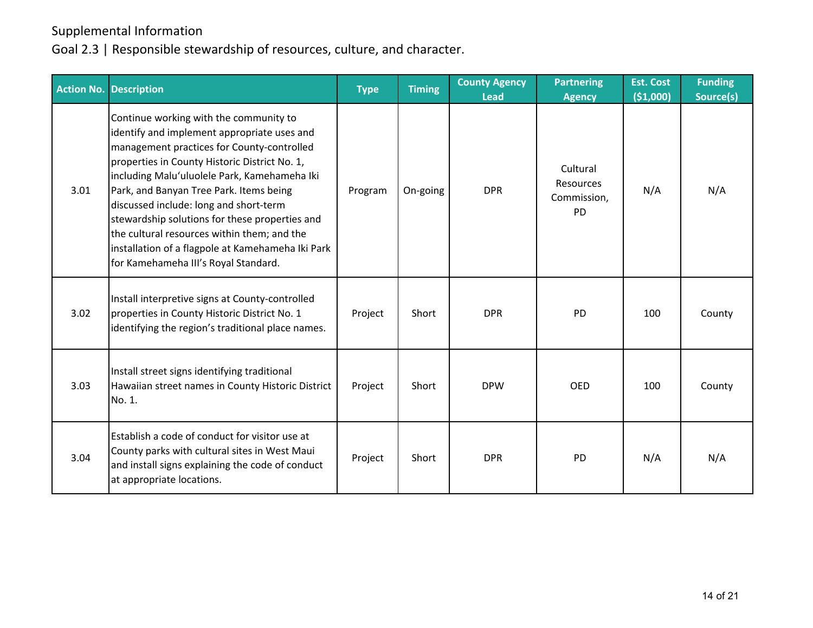|      | <b>Action No. Description</b>                                                                                                                                                                                                                                                                                                                                                                                                                                                                                           | <b>Type</b> | <b>Timing</b> | <b>County Agency</b><br><b>Lead</b> | <b>Partnering</b><br><b>Agency</b>                | <b>Est. Cost</b><br>(\$1,000) | <b>Funding</b><br>Source(s) |
|------|-------------------------------------------------------------------------------------------------------------------------------------------------------------------------------------------------------------------------------------------------------------------------------------------------------------------------------------------------------------------------------------------------------------------------------------------------------------------------------------------------------------------------|-------------|---------------|-------------------------------------|---------------------------------------------------|-------------------------------|-----------------------------|
| 3.01 | Continue working with the community to<br>identify and implement appropriate uses and<br>management practices for County-controlled<br>properties in County Historic District No. 1,<br>including Malu'uluolele Park, Kamehameha Iki<br>Park, and Banyan Tree Park. Items being<br>discussed include: long and short-term<br>stewardship solutions for these properties and<br>the cultural resources within them; and the<br>installation of a flagpole at Kamehameha Iki Park<br>for Kamehameha III's Royal Standard. | Program     | On-going      | <b>DPR</b>                          | Cultural<br>Resources<br>Commission,<br><b>PD</b> | N/A                           | N/A                         |
| 3.02 | Install interpretive signs at County-controlled<br>properties in County Historic District No. 1<br>identifying the region's traditional place names.                                                                                                                                                                                                                                                                                                                                                                    | Project     | Short         | <b>DPR</b>                          | PD                                                | 100                           | County                      |
| 3.03 | Install street signs identifying traditional<br>Hawaiian street names in County Historic District<br>No. 1.                                                                                                                                                                                                                                                                                                                                                                                                             | Project     | Short         | <b>DPW</b>                          | <b>OED</b>                                        | 100                           | County                      |
| 3.04 | Establish a code of conduct for visitor use at<br>County parks with cultural sites in West Maui<br>and install signs explaining the code of conduct<br>at appropriate locations.                                                                                                                                                                                                                                                                                                                                        | Project     | Short         | <b>DPR</b>                          | PD                                                | N/A                           | N/A                         |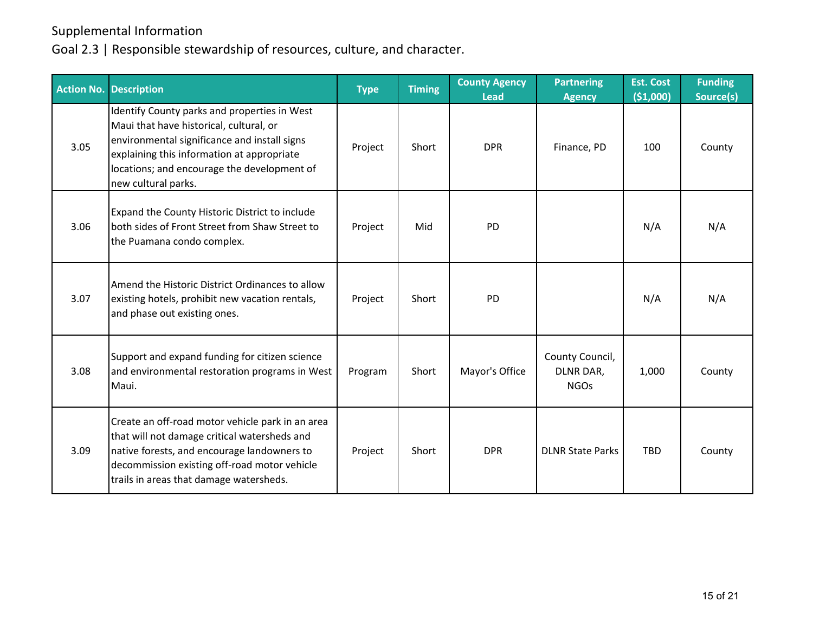| <b>Action No.</b> | <b>Description</b>                                                                                                                                                                                                                                          | <b>Type</b> | <b>Timing</b> | <b>County Agency</b><br><b>Lead</b> | <b>Partnering</b><br><b>Agency</b>          | <b>Est. Cost</b><br>(\$1,000) | <b>Funding</b><br>Source(s) |
|-------------------|-------------------------------------------------------------------------------------------------------------------------------------------------------------------------------------------------------------------------------------------------------------|-------------|---------------|-------------------------------------|---------------------------------------------|-------------------------------|-----------------------------|
| 3.05              | Identify County parks and properties in West<br>Maui that have historical, cultural, or<br>environmental significance and install signs<br>explaining this information at appropriate<br>locations; and encourage the development of<br>new cultural parks. | Project     | Short         | <b>DPR</b>                          | Finance, PD                                 | 100                           | County                      |
| 3.06              | Expand the County Historic District to include<br>both sides of Front Street from Shaw Street to<br>the Puamana condo complex.                                                                                                                              | Project     | Mid           | <b>PD</b>                           |                                             | N/A                           | N/A                         |
| 3.07              | Amend the Historic District Ordinances to allow<br>existing hotels, prohibit new vacation rentals,<br>and phase out existing ones.                                                                                                                          | Project     | Short         | <b>PD</b>                           |                                             | N/A                           | N/A                         |
| 3.08              | Support and expand funding for citizen science<br>and environmental restoration programs in West<br>Maui.                                                                                                                                                   | Program     | Short         | Mayor's Office                      | County Council,<br>DLNR DAR,<br><b>NGOs</b> | 1,000                         | County                      |
| 3.09              | Create an off-road motor vehicle park in an area<br>that will not damage critical watersheds and<br>native forests, and encourage landowners to<br>decommission existing off-road motor vehicle<br>trails in areas that damage watersheds.                  | Project     | Short         | <b>DPR</b>                          | <b>DLNR State Parks</b>                     | <b>TBD</b>                    | County                      |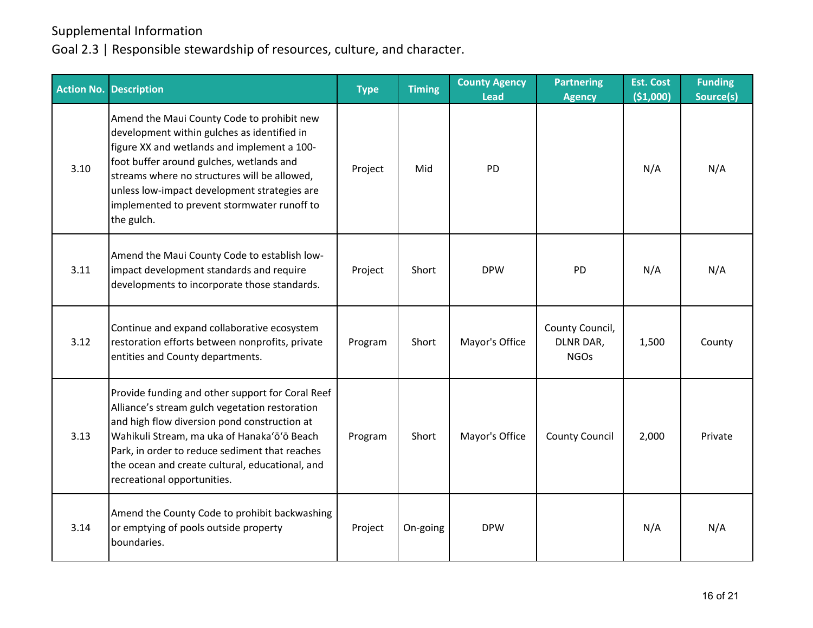|      | Action No. Description                                                                                                                                                                                                                                                                                                                            | <b>Type</b> | <b>Timing</b> | <b>County Agency</b><br><b>Lead</b> | <b>Partnering</b><br><b>Agency</b>          | <b>Est. Cost</b><br>( \$1,000) | <b>Funding</b><br>Source(s) |
|------|---------------------------------------------------------------------------------------------------------------------------------------------------------------------------------------------------------------------------------------------------------------------------------------------------------------------------------------------------|-------------|---------------|-------------------------------------|---------------------------------------------|--------------------------------|-----------------------------|
| 3.10 | Amend the Maui County Code to prohibit new<br>development within gulches as identified in<br>figure XX and wetlands and implement a 100-<br>foot buffer around gulches, wetlands and<br>streams where no structures will be allowed,<br>unless low-impact development strategies are<br>implemented to prevent stormwater runoff to<br>the gulch. | Project     | Mid           | PD                                  |                                             | N/A                            | N/A                         |
| 3.11 | Amend the Maui County Code to establish low-<br>impact development standards and require<br>developments to incorporate those standards.                                                                                                                                                                                                          | Project     | Short         | <b>DPW</b>                          | PD                                          | N/A                            | N/A                         |
| 3.12 | Continue and expand collaborative ecosystem<br>restoration efforts between nonprofits, private<br>entities and County departments.                                                                                                                                                                                                                | Program     | Short         | Mayor's Office                      | County Council,<br>DLNR DAR,<br><b>NGOs</b> | 1,500                          | County                      |
| 3.13 | Provide funding and other support for Coral Reef<br>Alliance's stream gulch vegetation restoration<br>and high flow diversion pond construction at<br>Wahikuli Stream, ma uka of Hanaka'ō'ō Beach<br>Park, in order to reduce sediment that reaches<br>the ocean and create cultural, educational, and<br>recreational opportunities.             | Program     | Short         | Mayor's Office                      | <b>County Council</b>                       | 2,000                          | Private                     |
| 3.14 | Amend the County Code to prohibit backwashing<br>or emptying of pools outside property<br>boundaries.                                                                                                                                                                                                                                             | Project     | On-going      | <b>DPW</b>                          |                                             | N/A                            | N/A                         |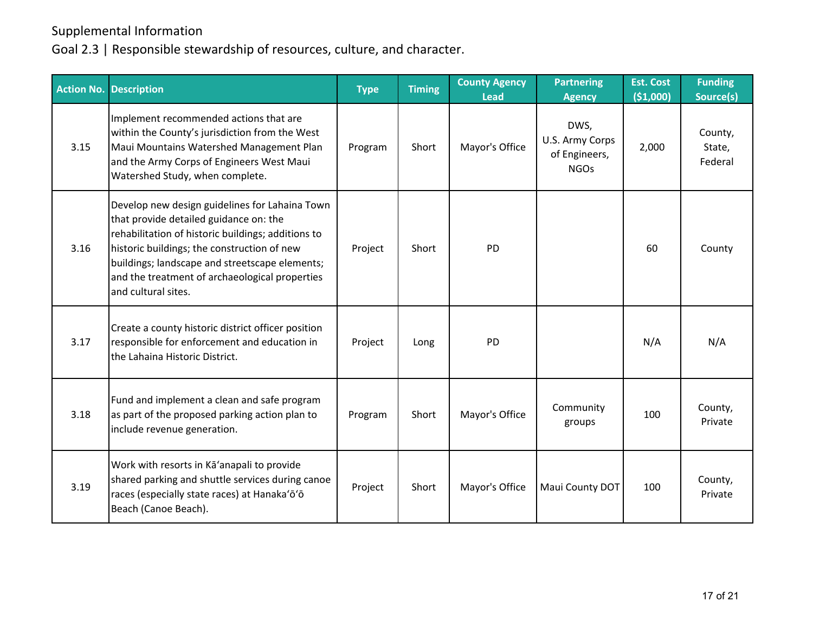| <b>Action No.</b> | <b>Description</b>                                                                                                                                                                                                                                                                                                       | <b>Type</b> | <b>Timing</b> | <b>County Agency</b><br>Lead | <b>Partnering</b><br><b>Agency</b>                      | <b>Est. Cost</b><br>( \$1,000] | <b>Funding</b><br>Source(s)  |
|-------------------|--------------------------------------------------------------------------------------------------------------------------------------------------------------------------------------------------------------------------------------------------------------------------------------------------------------------------|-------------|---------------|------------------------------|---------------------------------------------------------|--------------------------------|------------------------------|
| 3.15              | Implement recommended actions that are<br>within the County's jurisdiction from the West<br>Maui Mountains Watershed Management Plan<br>and the Army Corps of Engineers West Maui<br>Watershed Study, when complete.                                                                                                     | Program     | Short         | Mayor's Office               | DWS,<br>U.S. Army Corps<br>of Engineers,<br><b>NGOs</b> | 2,000                          | County,<br>State,<br>Federal |
| 3.16              | Develop new design guidelines for Lahaina Town<br>that provide detailed guidance on: the<br>rehabilitation of historic buildings; additions to<br>historic buildings; the construction of new<br>buildings; landscape and streetscape elements;<br>and the treatment of archaeological properties<br>and cultural sites. | Project     | Short         | PD                           |                                                         | 60                             | County                       |
| 3.17              | Create a county historic district officer position<br>responsible for enforcement and education in<br>the Lahaina Historic District.                                                                                                                                                                                     | Project     | Long          | PD                           |                                                         | N/A                            | N/A                          |
| 3.18              | Fund and implement a clean and safe program<br>as part of the proposed parking action plan to<br>include revenue generation.                                                                                                                                                                                             | Program     | Short         | Mayor's Office               | Community<br>groups                                     | 100                            | County,<br>Private           |
| 3.19              | Work with resorts in Ka'anapali to provide<br>shared parking and shuttle services during canoe<br>races (especially state races) at Hanaka'ō'ō<br>Beach (Canoe Beach).                                                                                                                                                   | Project     | Short         | Mayor's Office               | Maui County DOT                                         | 100                            | County,<br>Private           |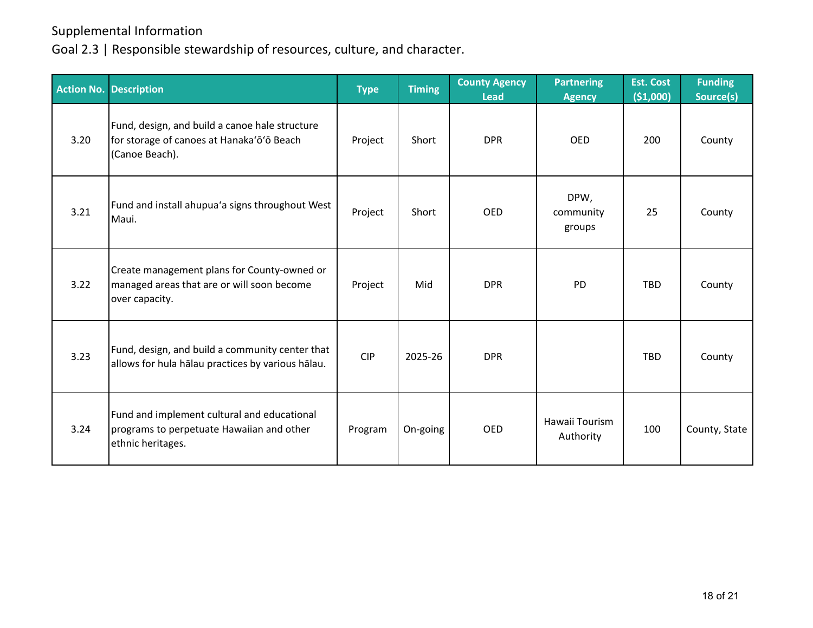|      | Action No. Description                                                                                        | <b>Type</b> | <b>Timing</b> | <b>County Agency</b><br><b>Lead</b> | <b>Partnering</b><br><b>Agency</b> | <b>Est. Cost</b><br>( \$1,000) | <b>Funding</b><br>Source(s) |
|------|---------------------------------------------------------------------------------------------------------------|-------------|---------------|-------------------------------------|------------------------------------|--------------------------------|-----------------------------|
| 3.20 | Fund, design, and build a canoe hale structure<br>for storage of canoes at Hanaka'ō'ō Beach<br>(Canoe Beach). | Project     | Short         | <b>DPR</b>                          | <b>OED</b>                         | 200                            | County                      |
| 3.21 | Fund and install ahupua'a signs throughout West<br>Maui.                                                      | Project     | Short         | <b>OED</b>                          | DPW,<br>community<br>groups        | 25                             | County                      |
| 3.22 | Create management plans for County-owned or<br>managed areas that are or will soon become<br>over capacity.   | Project     | Mid           | <b>DPR</b>                          | <b>PD</b>                          | <b>TBD</b>                     | County                      |
| 3.23 | Fund, design, and build a community center that<br>allows for hula hālau practices by various hālau.          | <b>CIP</b>  | 2025-26       | <b>DPR</b>                          |                                    | <b>TBD</b>                     | County                      |
| 3.24 | Fund and implement cultural and educational<br>programs to perpetuate Hawaiian and other<br>ethnic heritages. | Program     | On-going      | <b>OED</b>                          | Hawaii Tourism<br>Authority        | 100                            | County, State               |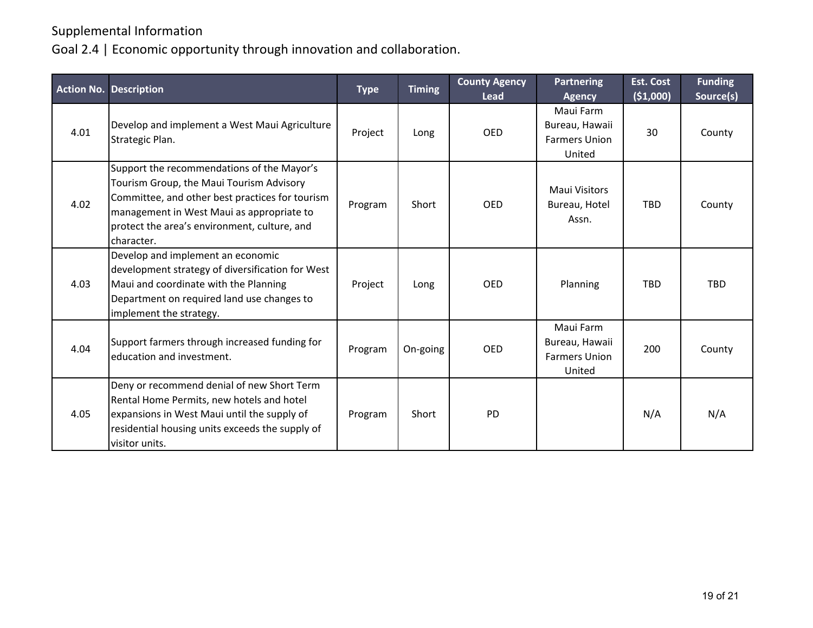Goal 2.4 | Economic opportunity through innovation and collaboration.

|      | <b>Action No. Description</b>                                                                                                                                                                                                                        | <b>Type</b> | <b>Timing</b> | <b>County Agency</b><br><b>Lead</b> | <b>Partnering</b><br><b>Agency</b>                            | <b>Est. Cost</b><br>( \$1,000) | <b>Funding</b><br>Source(s) |
|------|------------------------------------------------------------------------------------------------------------------------------------------------------------------------------------------------------------------------------------------------------|-------------|---------------|-------------------------------------|---------------------------------------------------------------|--------------------------------|-----------------------------|
| 4.01 | Develop and implement a West Maui Agriculture<br>Strategic Plan.                                                                                                                                                                                     | Project     | Long          | <b>OED</b>                          | Maui Farm<br>Bureau, Hawaii<br><b>Farmers Union</b><br>United | 30                             | County                      |
| 4.02 | Support the recommendations of the Mayor's<br>Tourism Group, the Maui Tourism Advisory<br>Committee, and other best practices for tourism<br>management in West Maui as appropriate to<br>protect the area's environment, culture, and<br>character. | Program     | Short         | <b>OED</b>                          | <b>Maui Visitors</b><br>Bureau, Hotel<br>Assn.                | <b>TBD</b>                     | County                      |
| 4.03 | Develop and implement an economic<br>development strategy of diversification for West<br>Maui and coordinate with the Planning<br>Department on required land use changes to<br>implement the strategy.                                              | Project     | Long          | <b>OED</b>                          | Planning                                                      | TBD                            | TBD                         |
| 4.04 | Support farmers through increased funding for<br>education and investment.                                                                                                                                                                           | Program     | On-going      | <b>OED</b>                          | Maui Farm<br>Bureau, Hawaii<br><b>Farmers Union</b><br>United | 200                            | County                      |
| 4.05 | Deny or recommend denial of new Short Term<br>Rental Home Permits, new hotels and hotel<br>expansions in West Maui until the supply of<br>residential housing units exceeds the supply of<br>visitor units.                                          | Program     | Short         | <b>PD</b>                           |                                                               | N/A                            | N/A                         |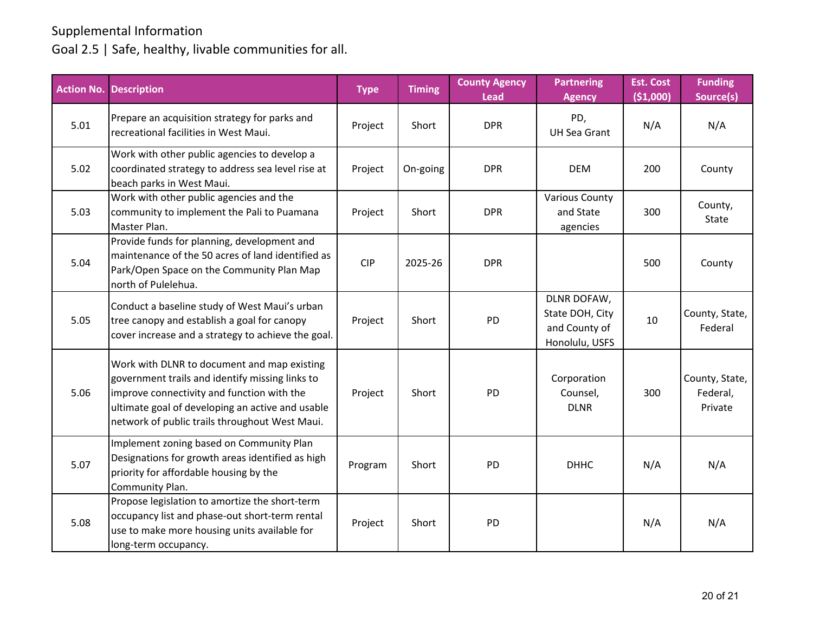#### Goal 2.5 | Safe, healthy, livable communities for all.

|      | <b>Action No. Description</b>                                                                                                                                                                                                                      | <b>Type</b> | <b>Timing</b> | <b>County Agency</b><br><b>Lead</b> | <b>Partnering</b><br><b>Agency</b>                                | <b>Est. Cost</b><br>( \$1,000) | <b>Funding</b><br>Source(s)           |
|------|----------------------------------------------------------------------------------------------------------------------------------------------------------------------------------------------------------------------------------------------------|-------------|---------------|-------------------------------------|-------------------------------------------------------------------|--------------------------------|---------------------------------------|
| 5.01 | Prepare an acquisition strategy for parks and<br>recreational facilities in West Maui.                                                                                                                                                             | Project     | Short         | <b>DPR</b>                          | PD,<br><b>UH Sea Grant</b>                                        | N/A                            | N/A                                   |
| 5.02 | Work with other public agencies to develop a<br>coordinated strategy to address sea level rise at<br>beach parks in West Maui.                                                                                                                     | Project     | On-going      | <b>DPR</b>                          | <b>DEM</b>                                                        | 200                            | County                                |
| 5.03 | Work with other public agencies and the<br>community to implement the Pali to Puamana<br>Master Plan.                                                                                                                                              | Project     | Short         | <b>DPR</b>                          | <b>Various County</b><br>and State<br>agencies                    | 300                            | County,<br>State                      |
| 5.04 | Provide funds for planning, development and<br>maintenance of the 50 acres of land identified as<br>Park/Open Space on the Community Plan Map<br>north of Pulelehua.                                                                               | CIP         | 2025-26       | <b>DPR</b>                          |                                                                   | 500                            | County                                |
| 5.05 | Conduct a baseline study of West Maui's urban<br>tree canopy and establish a goal for canopy<br>cover increase and a strategy to achieve the goal.                                                                                                 | Project     | Short         | <b>PD</b>                           | DLNR DOFAW,<br>State DOH, City<br>and County of<br>Honolulu, USFS | 10                             | County, State,<br>Federal             |
| 5.06 | Work with DLNR to document and map existing<br>government trails and identify missing links to<br>improve connectivity and function with the<br>ultimate goal of developing an active and usable<br>network of public trails throughout West Maui. | Project     | Short         | <b>PD</b>                           | Corporation<br>Counsel,<br><b>DLNR</b>                            | 300                            | County, State,<br>Federal,<br>Private |
| 5.07 | Implement zoning based on Community Plan<br>Designations for growth areas identified as high<br>priority for affordable housing by the<br>Community Plan.                                                                                          | Program     | Short         | PD                                  | <b>DHHC</b>                                                       | N/A                            | N/A                                   |
| 5.08 | Propose legislation to amortize the short-term<br>occupancy list and phase-out short-term rental<br>use to make more housing units available for<br>long-term occupancy.                                                                           | Project     | Short         | PD                                  |                                                                   | N/A                            | N/A                                   |